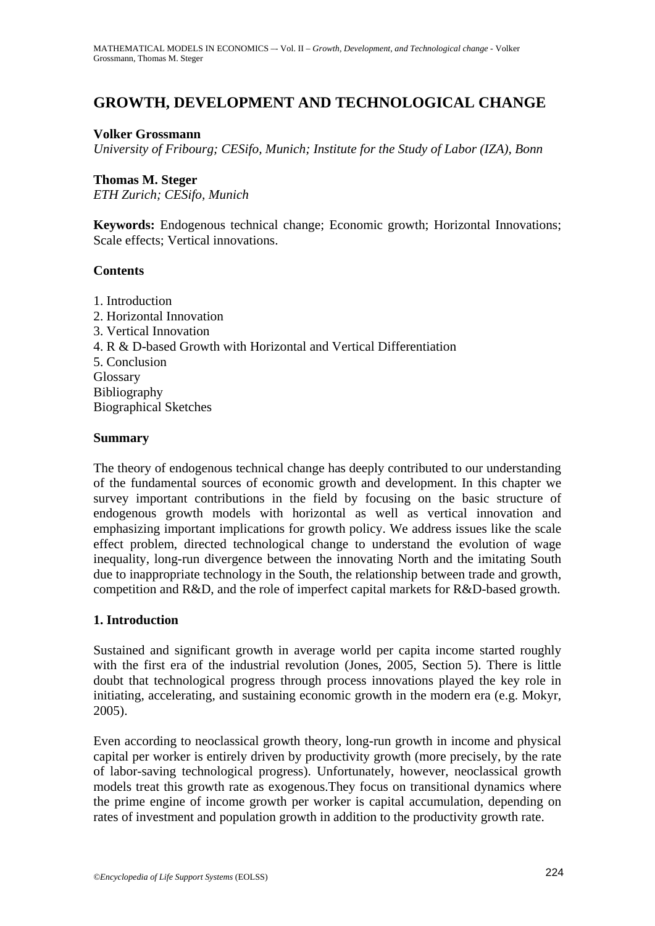# **GROWTH, DEVELOPMENT AND TECHNOLOGICAL CHANGE**

#### **Volker Grossmann**

*University of Fribourg; CESifo, Munich; Institute for the Study of Labor (IZA), Bonn*

#### **Thomas M. Steger**

*ETH Zurich; CESifo, Munich*

**Keywords:** Endogenous technical change; Economic growth; Horizontal Innovations; Scale effects; Vertical innovations.

### **Contents**

1. Introduction 2. Horizontal Innovation 3. Vertical Innovation 4. R & D-based Growth with Horizontal and Vertical Differentiation 5. Conclusion Glossary Bibliography Biographical Sketches

### **Summary**

The theory of endogenous technical change has deeply contributed to our understanding of the fundamental sources of economic growth and development. In this chapter we survey important contributions in the field by focusing on the basic structure of endogenous growth models with horizontal as well as vertical innovation and emphasizing important implications for growth policy. We address issues like the scale effect problem, directed technological change to understand the evolution of wage inequality, long-run divergence between the innovating North and the imitating South due to inappropriate technology in the South, the relationship between trade and growth, competition and R&D, and the role of imperfect capital markets for R&D-based growth.

# **1. Introduction**

Sustained and significant growth in average world per capita income started roughly with the first era of the industrial revolution (Jones, 2005, Section 5). There is little doubt that technological progress through process innovations played the key role in initiating, accelerating, and sustaining economic growth in the modern era (e.g. Mokyr, 2005).

Even according to neoclassical growth theory, long-run growth in income and physical capital per worker is entirely driven by productivity growth (more precisely, by the rate of labor-saving technological progress). Unfortunately, however, neoclassical growth models treat this growth rate as exogenous.They focus on transitional dynamics where the prime engine of income growth per worker is capital accumulation, depending on rates of investment and population growth in addition to the productivity growth rate.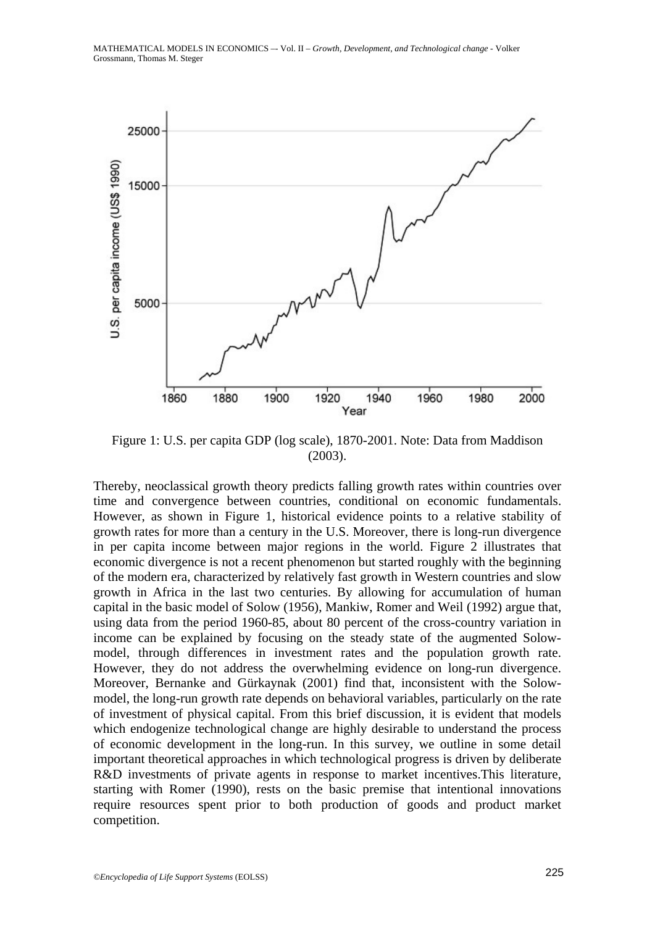

Figure 1: U.S. per capita GDP (log scale), 1870-2001. Note: Data from Maddison (2003).

Thereby, neoclassical growth theory predicts falling growth rates within countries over time and convergence between countries, conditional on economic fundamentals. However, as shown in Figure 1, historical evidence points to a relative stability of growth rates for more than a century in the U.S. Moreover, there is long-run divergence in per capita income between major regions in the world. Figure 2 illustrates that economic divergence is not a recent phenomenon but started roughly with the beginning of the modern era, characterized by relatively fast growth in Western countries and slow growth in Africa in the last two centuries. By allowing for accumulation of human capital in the basic model of Solow (1956), Mankiw, Romer and Weil (1992) argue that, using data from the period 1960-85, about 80 percent of the cross-country variation in income can be explained by focusing on the steady state of the augmented Solowmodel, through differences in investment rates and the population growth rate. However, they do not address the overwhelming evidence on long-run divergence. Moreover, Bernanke and Gürkaynak (2001) find that, inconsistent with the Solowmodel, the long-run growth rate depends on behavioral variables, particularly on the rate of investment of physical capital. From this brief discussion, it is evident that models which endogenize technological change are highly desirable to understand the process of economic development in the long-run. In this survey, we outline in some detail important theoretical approaches in which technological progress is driven by deliberate R&D investments of private agents in response to market incentives. This literature, starting with Romer (1990), rests on the basic premise that intentional innovations require resources spent prior to both production of goods and product market competition.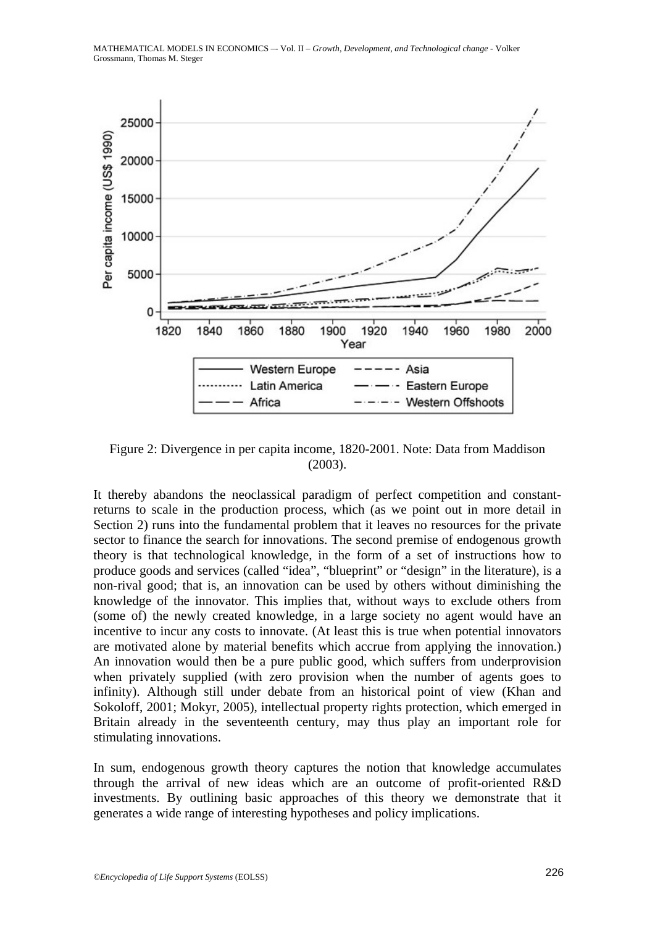

Figure 2: Divergence in per capita income, 1820-2001. Note: Data from Maddison (2003).

It thereby abandons the neoclassical paradigm of perfect competition and constantreturns to scale in the production process, which (as we point out in more detail in Section 2) runs into the fundamental problem that it leaves no resources for the private sector to finance the search for innovations. The second premise of endogenous growth theory is that technological knowledge, in the form of a set of instructions how to produce goods and services (called "idea", "blueprint" or "design" in the literature), is a non-rival good; that is, an innovation can be used by others without diminishing the knowledge of the innovator. This implies that, without ways to exclude others from (some of) the newly created knowledge, in a large society no agent would have an incentive to incur any costs to innovate. (At least this is true when potential innovators are motivated alone by material benefits which accrue from applying the innovation.) An innovation would then be a pure public good, which suffers from underprovision when privately supplied (with zero provision when the number of agents goes to infinity). Although still under debate from an historical point of view (Khan and Sokoloff, 2001; Mokyr, 2005), intellectual property rights protection, which emerged in Britain already in the seventeenth century, may thus play an important role for stimulating innovations.

In sum, endogenous growth theory captures the notion that knowledge accumulates through the arrival of new ideas which are an outcome of profit-oriented R&D investments. By outlining basic approaches of this theory we demonstrate that it generates a wide range of interesting hypotheses and policy implications.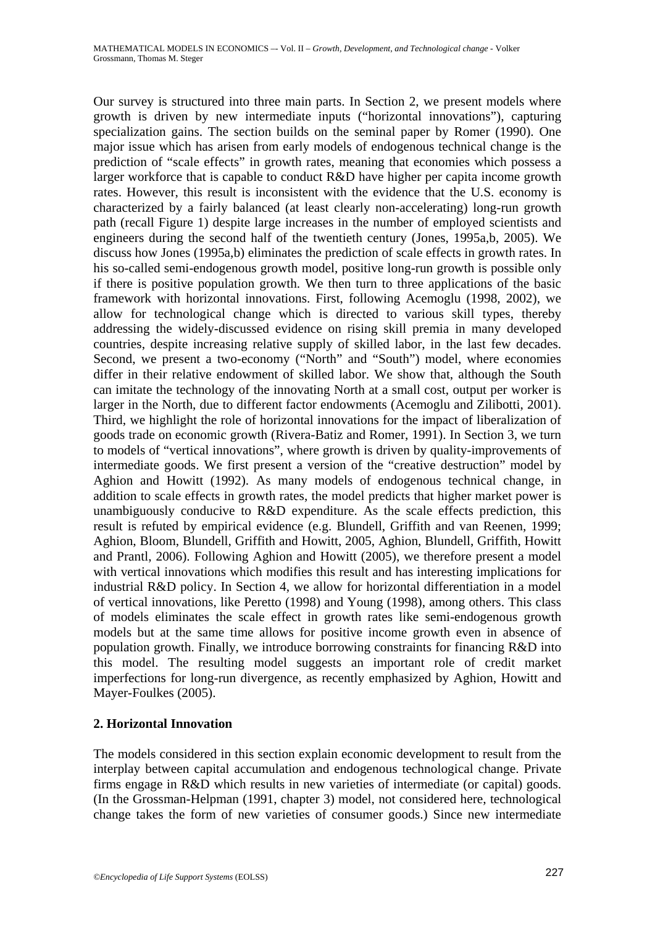Our survey is structured into three main parts. In Section 2, we present models where growth is driven by new intermediate inputs ("horizontal innovations"), capturing specialization gains. The section builds on the seminal paper by Romer (1990). One major issue which has arisen from early models of endogenous technical change is the prediction of "scale effects" in growth rates, meaning that economies which possess a larger workforce that is capable to conduct R&D have higher per capita income growth rates. However, this result is inconsistent with the evidence that the U.S. economy is characterized by a fairly balanced (at least clearly non-accelerating) long-run growth path (recall Figure 1) despite large increases in the number of employed scientists and engineers during the second half of the twentieth century (Jones, 1995a,b, 2005). We discuss how Jones (1995a,b) eliminates the prediction of scale effects in growth rates. In his so-called semi-endogenous growth model, positive long-run growth is possible only if there is positive population growth. We then turn to three applications of the basic framework with horizontal innovations. First, following Acemoglu (1998, 2002), we allow for technological change which is directed to various skill types, thereby addressing the widely-discussed evidence on rising skill premia in many developed countries, despite increasing relative supply of skilled labor, in the last few decades. Second, we present a two-economy ("North" and "South") model, where economies differ in their relative endowment of skilled labor. We show that, although the South can imitate the technology of the innovating North at a small cost, output per worker is larger in the North, due to different factor endowments (Acemoglu and Zilibotti, 2001). Third, we highlight the role of horizontal innovations for the impact of liberalization of goods trade on economic growth (Rivera-Batiz and Romer, 1991). In Section 3, we turn to models of "vertical innovations", where growth is driven by quality-improvements of intermediate goods. We first present a version of the "creative destruction" model by Aghion and Howitt (1992). As many models of endogenous technical change, in addition to scale effects in growth rates, the model predicts that higher market power is unambiguously conducive to R&D expenditure. As the scale effects prediction, this result is refuted by empirical evidence (e.g. Blundell, Griffith and van Reenen, 1999; Aghion, Bloom, Blundell, Griffith and Howitt, 2005, Aghion, Blundell, Griffith, Howitt and Prantl, 2006). Following Aghion and Howitt (2005), we therefore present a model with vertical innovations which modifies this result and has interesting implications for industrial R&D policy. In Section 4, we allow for horizontal differentiation in a model of vertical innovations, like Peretto (1998) and Young (1998), among others. This class of models eliminates the scale effect in growth rates like semi-endogenous growth models but at the same time allows for positive income growth even in absence of population growth. Finally, we introduce borrowing constraints for financing R&D into this model. The resulting model suggests an important role of credit market imperfections for long-run divergence, as recently emphasized by Aghion, Howitt and Mayer-Foulkes (2005).

# **2. Horizontal Innovation**

The models considered in this section explain economic development to result from the interplay between capital accumulation and endogenous technological change. Private firms engage in R&D which results in new varieties of intermediate (or capital) goods. (In the Grossman-Helpman (1991, chapter 3) model, not considered here, technological change takes the form of new varieties of consumer goods.) Since new intermediate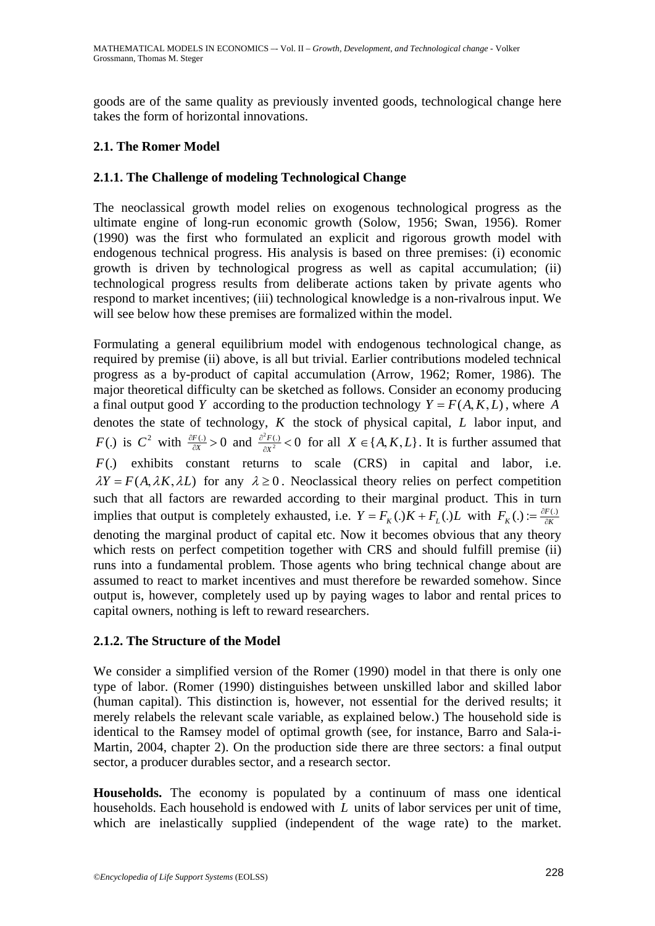goods are of the same quality as previously invented goods, technological change here takes the form of horizontal innovations.

# **2.1. The Romer Model**

# **2.1.1. The Challenge of modeling Technological Change**

The neoclassical growth model relies on exogenous technological progress as the ultimate engine of long-run economic growth (Solow, 1956; Swan, 1956). Romer (1990) was the first who formulated an explicit and rigorous growth model with endogenous technical progress. His analysis is based on three premises: (i) economic growth is driven by technological progress as well as capital accumulation; (ii) technological progress results from deliberate actions taken by private agents who respond to market incentives; (iii) technological knowledge is a non-rivalrous input. We will see below how these premises are formalized within the model.

Formulating a general equilibrium model with endogenous technological change, as required by premise (ii) above, is all but trivial. Earlier contributions modeled technical progress as a by-product of capital accumulation (Arrow, 1962; Romer, 1986). The major theoretical difficulty can be sketched as follows. Consider an economy producing a final output good *Y* according to the production technology  $Y = F(A, K, L)$ , where *A* denotes the state of technology, *K* the stock of physical capital, *L* labor input, and *F*(.) is  $C^2$  with  $\frac{\partial F(.)}{\partial X} > 0$  $\frac{\partial F(.)}{\partial X} > 0$  and  $\frac{\partial^2 F(.)}{\partial X^2} < 0$  $\partial^2 F$  (.  $\frac{d^2 F(t)}{dx^2}$  < 0 for all *X* ∈ {*A, K, L*}. It is further assumed that *F*(.) exhibits constant returns to scale (CRS) in capital and labor, i.e.  $\lambda Y = F(A, \lambda K, \lambda L)$  for any  $\lambda \ge 0$ . Neoclassical theory relies on perfect competition such that all factors are rewarded according to their marginal product. This in turn implies that output is completely exhausted, i.e.  $Y = F_K(.)K + F_L(.)L$  with  $F_K(.) := \frac{\partial F(.)}{\partial K}$ denoting the marginal product of capital etc. Now it becomes obvious that any theory which rests on perfect competition together with CRS and should fulfill premise (ii) runs into a fundamental problem. Those agents who bring technical change about are assumed to react to market incentives and must therefore be rewarded somehow. Since output is, however, completely used up by paying wages to labor and rental prices to capital owners, nothing is left to reward researchers.

#### **2.1.2. The Structure of the Model**

We consider a simplified version of the Romer (1990) model in that there is only one type of labor. (Romer (1990) distinguishes between unskilled labor and skilled labor (human capital). This distinction is, however, not essential for the derived results; it merely relabels the relevant scale variable, as explained below.) The household side is identical to the Ramsey model of optimal growth (see, for instance, Barro and Sala-i-Martin, 2004, chapter 2). On the production side there are three sectors: a final output sector, a producer durables sector, and a research sector.

**Households.** The economy is populated by a continuum of mass one identical households. Each household is endowed with *L* units of labor services per unit of time, which are inelastically supplied (independent of the wage rate) to the market.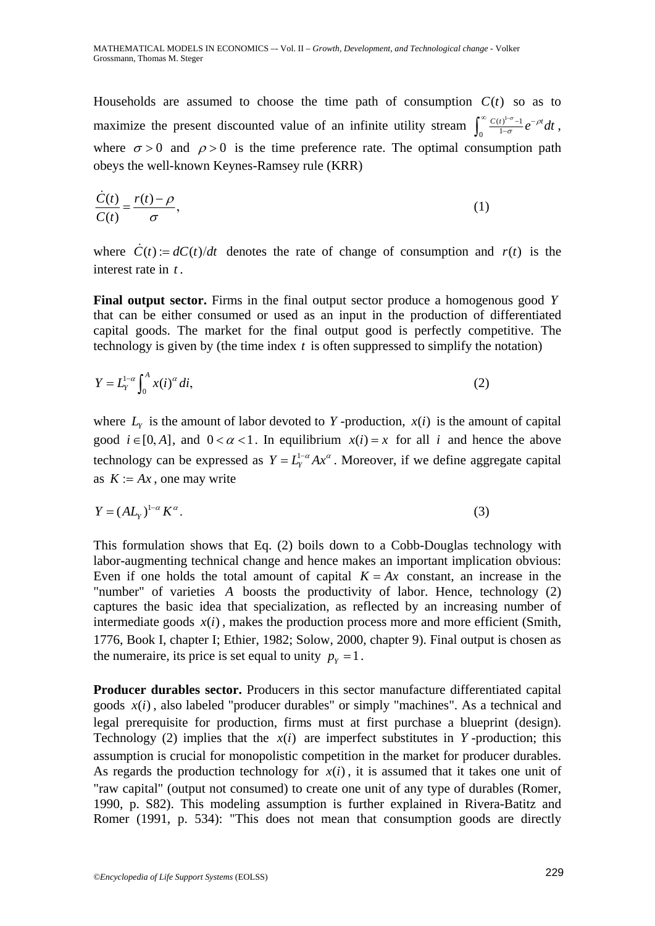Households are assumed to choose the time path of consumption  $C(t)$  so as to maximize the present discounted value of an infinite utility stream  $\int_0^\infty \frac{C(t)^{1-\sigma}-1}{1-\sigma}e^{-\rho t}dt$ , where  $\sigma > 0$  and  $\rho > 0$  is the time preference rate. The optimal consumption path obeys the well-known Keynes-Ramsey rule (KRR)

$$
\frac{\dot{C}(t)}{C(t)} = \frac{r(t) - \rho}{\sigma},\tag{1}
$$

where  $\dot{C}(t) := dC(t)/dt$  denotes the rate of change of consumption and  $r(t)$  is the interest rate in *t* .

**Final output sector.** Firms in the final output sector produce a homogenous good *Y* that can be either consumed or used as an input in the production of differentiated capital goods. The market for the final output good is perfectly competitive. The technology is given by (the time index *t* is often suppressed to simplify the notation)

$$
Y = L_Y^{1-\alpha} \int_0^A x(i)^\alpha \, di,\tag{2}
$$

where  $L<sub>y</sub>$  is the amount of labor devoted to *Y*-production,  $x(i)$  is the amount of capital good  $i \in [0, A]$ , and  $0 < \alpha < 1$ . In equilibrium  $x(i) = x$  for all *i* and hence the above technology can be expressed as  $Y = L_Y^{1-\alpha} A x^{\alpha}$ . Moreover, if we define aggregate capital as  $K := Ax$ , one may write

$$
Y = (AL_{Y})^{1-\alpha} K^{\alpha}.
$$
 (3)

This formulation shows that Eq. (2) boils down to a Cobb-Douglas technology with labor-augmenting technical change and hence makes an important implication obvious: Even if one holds the total amount of capital  $K = Ax$  constant, an increase in the "number" of varieties *A* boosts the productivity of labor. Hence, technology (2) captures the basic idea that specialization, as reflected by an increasing number of intermediate goods  $x(i)$ , makes the production process more and more efficient (Smith, 1776, Book I, chapter I; Ethier, 1982; Solow, 2000, chapter 9). Final output is chosen as the numeraire, its price is set equal to unity  $p_y = 1$ .

**Producer durables sector.** Producers in this sector manufacture differentiated capital goods  $x(i)$ , also labeled "producer durables" or simply "machines". As a technical and legal prerequisite for production, firms must at first purchase a blueprint (design). Technology (2) implies that the  $x(i)$  are imperfect substitutes in *Y* -production; this assumption is crucial for monopolistic competition in the market for producer durables. As regards the production technology for  $x(i)$ , it is assumed that it takes one unit of "raw capital" (output not consumed) to create one unit of any type of durables (Romer, 1990, p. S82). This modeling assumption is further explained in Rivera-Batitz and Romer (1991, p. 534): "This does not mean that consumption goods are directly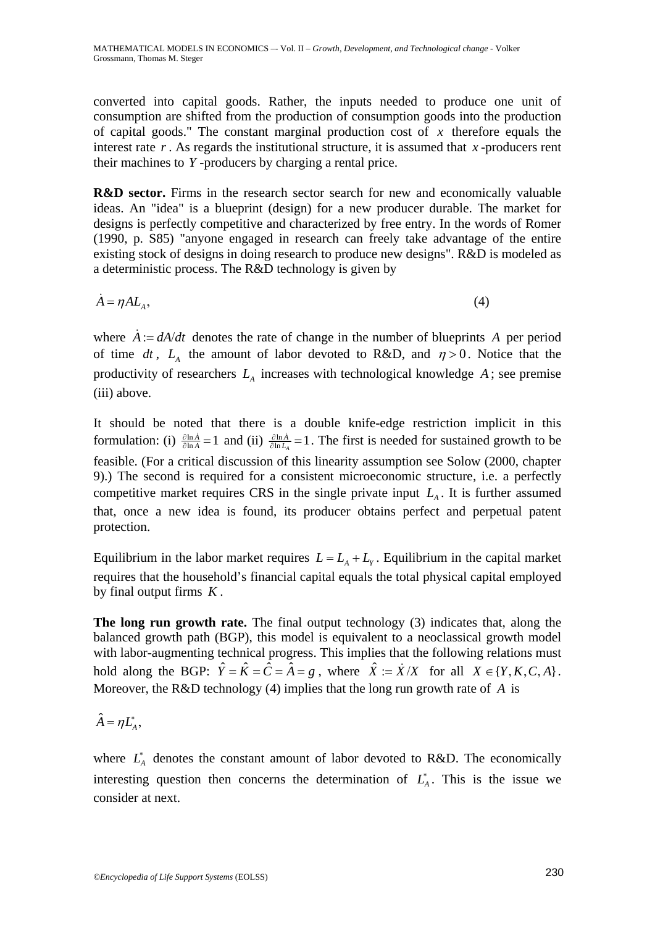converted into capital goods. Rather, the inputs needed to produce one unit of consumption are shifted from the production of consumption goods into the production of capital goods." The constant marginal production cost of *x* therefore equals the interest rate *r* . As regards the institutional structure, it is assumed that *x* -producers rent their machines to *Y* -producers by charging a rental price.

**R&D sector.** Firms in the research sector search for new and economically valuable ideas. An "idea" is a blueprint (design) for a new producer durable. The market for designs is perfectly competitive and characterized by free entry. In the words of Romer (1990, p. S85) "anyone engaged in research can freely take advantage of the entire existing stock of designs in doing research to produce new designs". R&D is modeled as a deterministic process. The R&D technology is given by

 $\dot{A} = \eta A L_A,$  (4)

where  $\dot{A} = dA/dt$  denotes the rate of change in the number of blueprints A per period of time *dt*,  $L_A$  the amount of labor devoted to R&D, and  $\eta > 0$ . Notice that the productivity of researchers  $L_A$  increases with technological knowledge  $A$ ; see premise (iii) above.

It should be noted that there is a double knife-edge restriction implicit in this formulation: (i)  $\frac{\partial \ln \dot{A}}{\partial \ln A} = 1$  and (ii)  $\frac{\partial \ln \dot{A}}{\partial \ln L_A} = 1$ . The first is needed for sustained growth to be feasible. (For a critical discussion of this linearity assumption see Solow (2000, chapter 9).) The second is required for a consistent microeconomic structure, i.e. a perfectly competitive market requires CRS in the single private input  $L<sub>A</sub>$ . It is further assumed that, once a new idea is found, its producer obtains perfect and perpetual patent protection.

Equilibrium in the labor market requires  $L = L<sub>A</sub> + L<sub>y</sub>$ . Equilibrium in the capital market requires that the household's financial capital equals the total physical capital employed by final output firms *K* .

**The long run growth rate.** The final output technology (3) indicates that, along the balanced growth path (BGP), this model is equivalent to a neoclassical growth model with labor-augmenting technical progress. This implies that the following relations must hold along the BGP:  $\hat{Y} = \hat{K} = \hat{C} = \hat{A} = g$ , where  $\hat{X} := \hat{X}/X$  for all  $X \in \{Y, K, C, A\}$ . Moreover, the R&D technology (4) implies that the long run growth rate of *A* is

$$
\hat{A} = \eta L_A^*,
$$

where  $L_A^*$  denotes the constant amount of labor devoted to R&D. The economically interesting question then concerns the determination of  $L_A^*$ . This is the issue we consider at next.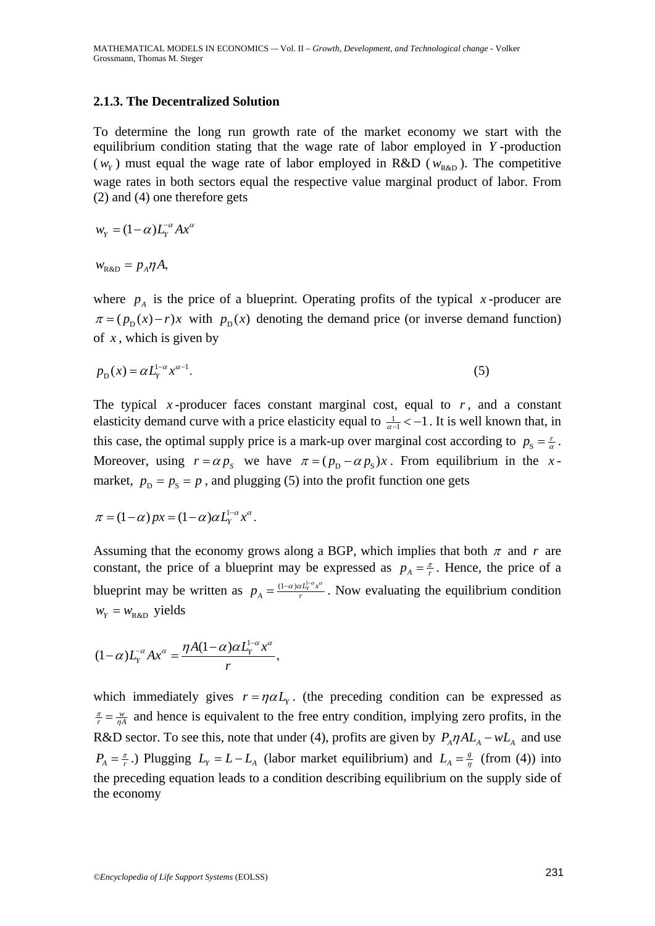#### **2.1.3. The Decentralized Solution**

To determine the long run growth rate of the market economy we start with the equilibrium condition stating that the wage rate of labor employed in *Y* -production  $(w<sub>y</sub>)$  must equal the wage rate of labor employed in R&D ( $w<sub>R&D</sub>$ ). The competitive wage rates in both sectors equal the respective value marginal product of labor. From (2) and (4) one therefore gets

$$
w_Y = (1 - \alpha) L_Y^{-\alpha} A x^{\alpha}
$$

 $w_{\text{R\&D}} = p_A \eta A$ 

where  $p_A$  is the price of a blueprint. Operating profits of the typical *x*-producer are  $\pi = (p_{\text{p}}(x) - r)x$  with  $p_{\text{p}}(x)$  denoting the demand price (or inverse demand function) of *x* , which is given by

$$
p_{\rm p}(x) = \alpha L_{\rm y}^{1-\alpha} x^{\alpha-1}.
$$
 (5)

The typical *x*-producer faces constant marginal cost, equal to  $r$ , and a constant elasticity demand curve with a price elasticity equal to  $\frac{1}{\alpha-1} < -1$ . It is well known that, in this case, the optimal supply price is a mark-up over marginal cost according to  $p_s = \frac{r}{\alpha}$ . Moreover, using  $r = \alpha p_s$  we have  $\pi = (p_p - \alpha p_s)x$ . From equilibrium in the *x*market,  $p_p = p_s = p$ , and plugging (5) into the profit function one gets

$$
\pi = (1 - \alpha) px = (1 - \alpha) \alpha L_Y^{1 - \alpha} x^{\alpha}.
$$

Assuming that the economy grows along a BGP, which implies that both  $\pi$  and  $r$  are constant, the price of a blueprint may be expressed as  $p_A = \frac{\pi}{r}$ . Hence, the price of a blueprint may be written as  $p_A = \frac{(1 - \alpha) \alpha L_r^2 \alpha x^{\alpha}}{r}$ . Now evaluating the equilibrium condition  $w_{\rm y} = w_{\rm R\&D}$  yields

$$
(1-\alpha)L_{Y}^{\alpha}Ax^{\alpha}=\frac{\eta A(1-\alpha)\alpha L_{Y}^{1-\alpha}x^{\alpha}}{r},
$$

which immediately gives  $r = \eta \alpha L_y$ . (the preceding condition can be expressed as  $\frac{\pi}{r} = \frac{w}{nA}$  and hence is equivalent to the free entry condition, implying zero profits, in the R&D sector. To see this, note that under (4), profits are given by  $P_A \eta A L_A - w L_A$  and use  $P_A = \frac{\pi}{r}$ .) Plugging  $L_y = L - L_A$  (labor market equilibrium) and  $L_A = \frac{g}{\eta}$  (from (4)) into the preceding equation leads to a condition describing equilibrium on the supply side of the economy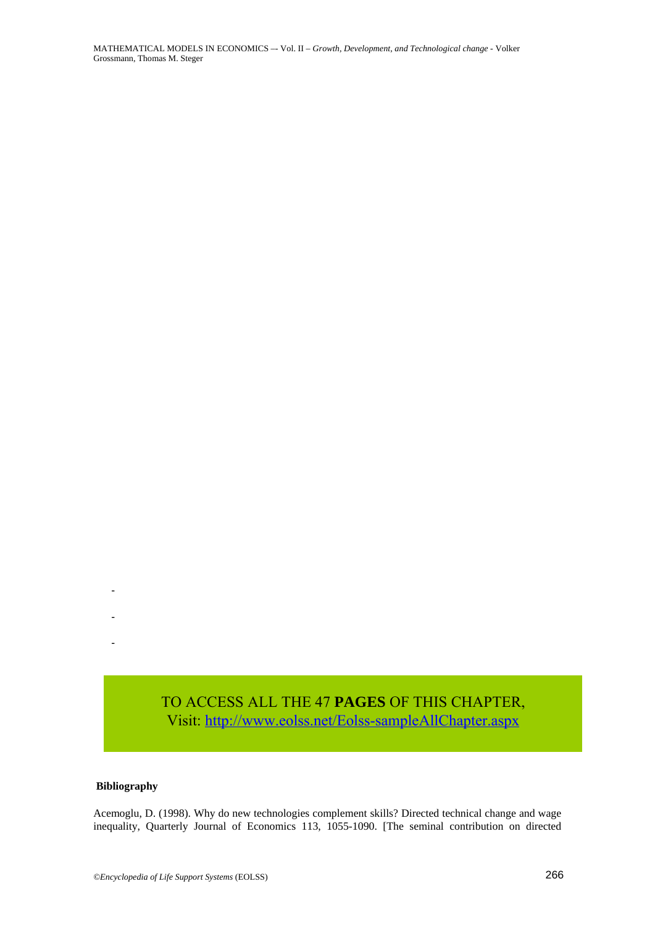TO ACCESS ALL THE 47 **PAGES** OF THIS CHAPTER,<br>Visit: http://www.eolss.net/Eolss-sampleAllChapter.aspx<br>(1998). Why do new technologies complement skills? Directed technical change and wage<br>(1998). Why do new technologies co Visit[: http://www.eolss.net/Eolss-sampleAllChapter.aspx](https://www.eolss.net/ebooklib/sc_cart.aspx?File=E6-154-18-00)

#### **Bibliography**

-

-

-

Acemoglu, D. (1998). Why do new technologies complement skills? Directed technical change and wage inequality, Quarterly Journal of Economics 113, 1055-1090. [The seminal contribution on directed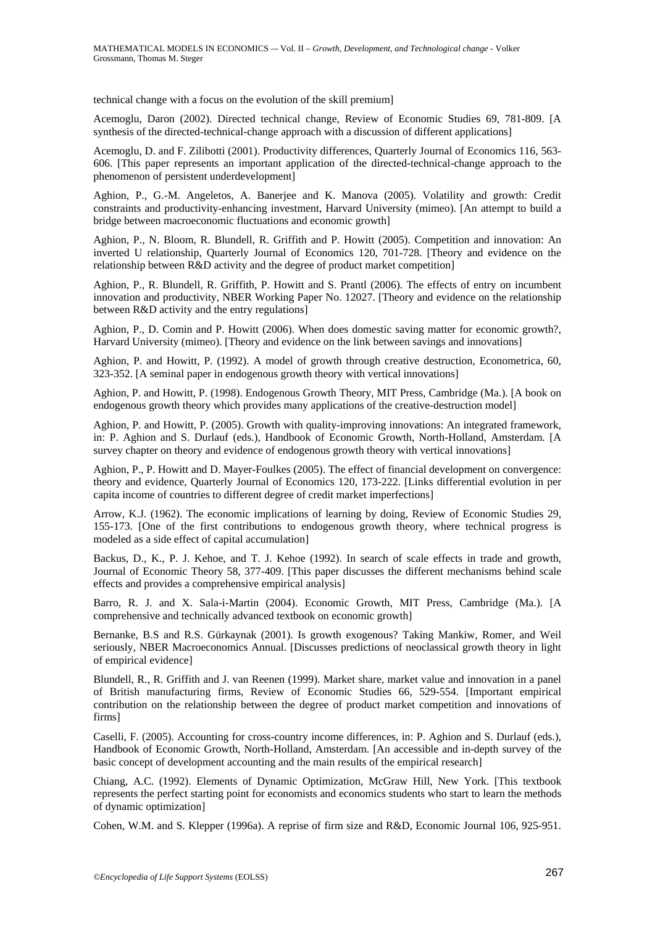technical change with a focus on the evolution of the skill premium]

Acemoglu, Daron (2002). Directed technical change, Review of Economic Studies 69, 781-809. [A synthesis of the directed-technical-change approach with a discussion of different applications]

Acemoglu, D. and F. Zilibotti (2001). Productivity differences, Quarterly Journal of Economics 116, 563- 606. [This paper represents an important application of the directed-technical-change approach to the phenomenon of persistent underdevelopment]

Aghion, P., G.-M. Angeletos, A. Banerjee and K. Manova (2005). Volatility and growth: Credit constraints and productivity-enhancing investment, Harvard University (mimeo). [An attempt to build a bridge between macroeconomic fluctuations and economic growth]

Aghion, P., N. Bloom, R. Blundell, R. Griffith and P. Howitt (2005). Competition and innovation: An inverted U relationship, Quarterly Journal of Economics 120, 701-728. [Theory and evidence on the relationship between R&D activity and the degree of product market competition]

Aghion, P., R. Blundell, R. Griffith, P. Howitt and S. Prantl (2006). The effects of entry on incumbent innovation and productivity, NBER Working Paper No. 12027. [Theory and evidence on the relationship between R&D activity and the entry regulations]

Aghion, P., D. Comin and P. Howitt (2006). When does domestic saving matter for economic growth?, Harvard University (mimeo). [Theory and evidence on the link between savings and innovations]

Aghion, P. and Howitt, P. (1992). A model of growth through creative destruction, Econometrica, 60, 323-352. [A seminal paper in endogenous growth theory with vertical innovations]

Aghion, P. and Howitt, P. (1998). Endogenous Growth Theory, MIT Press, Cambridge (Ma.). [A book on endogenous growth theory which provides many applications of the creative-destruction model]

Aghion, P. and Howitt, P. (2005). Growth with quality-improving innovations: An integrated framework, in: P. Aghion and S. Durlauf (eds.), Handbook of Economic Growth, North-Holland, Amsterdam. [A survey chapter on theory and evidence of endogenous growth theory with vertical innovations]

Aghion, P., P. Howitt and D. Mayer-Foulkes (2005). The effect of financial development on convergence: theory and evidence, Quarterly Journal of Economics 120, 173-222. [Links differential evolution in per capita income of countries to different degree of credit market imperfections]

Arrow, K.J. (1962). The economic implications of learning by doing, Review of Economic Studies 29, 155-173. [One of the first contributions to endogenous growth theory, where technical progress is modeled as a side effect of capital accumulation]

Backus, D., K., P. J. Kehoe, and T. J. Kehoe (1992). In search of scale effects in trade and growth, Journal of Economic Theory 58, 377-409. [This paper discusses the different mechanisms behind scale effects and provides a comprehensive empirical analysis]

Barro, R. J. and X. Sala-i-Martin (2004). Economic Growth, MIT Press, Cambridge (Ma.). [A comprehensive and technically advanced textbook on economic growth]

Bernanke, B.S and R.S. Gürkaynak (2001). Is growth exogenous? Taking Mankiw, Romer, and Weil seriously, NBER Macroeconomics Annual. [Discusses predictions of neoclassical growth theory in light of empirical evidence]

Blundell, R., R. Griffith and J. van Reenen (1999). Market share, market value and innovation in a panel of British manufacturing firms, Review of Economic Studies 66, 529-554. [Important empirical contribution on the relationship between the degree of product market competition and innovations of firms]

Caselli, F. (2005). Accounting for cross-country income differences, in: P. Aghion and S. Durlauf (eds.), Handbook of Economic Growth, North-Holland, Amsterdam. [An accessible and in-depth survey of the basic concept of development accounting and the main results of the empirical research]

Chiang, A.C. (1992). Elements of Dynamic Optimization, McGraw Hill, New York. [This textbook represents the perfect starting point for economists and economics students who start to learn the methods of dynamic optimization]

Cohen, W.M. and S. Klepper (1996a). A reprise of firm size and R&D, Economic Journal 106, 925-951.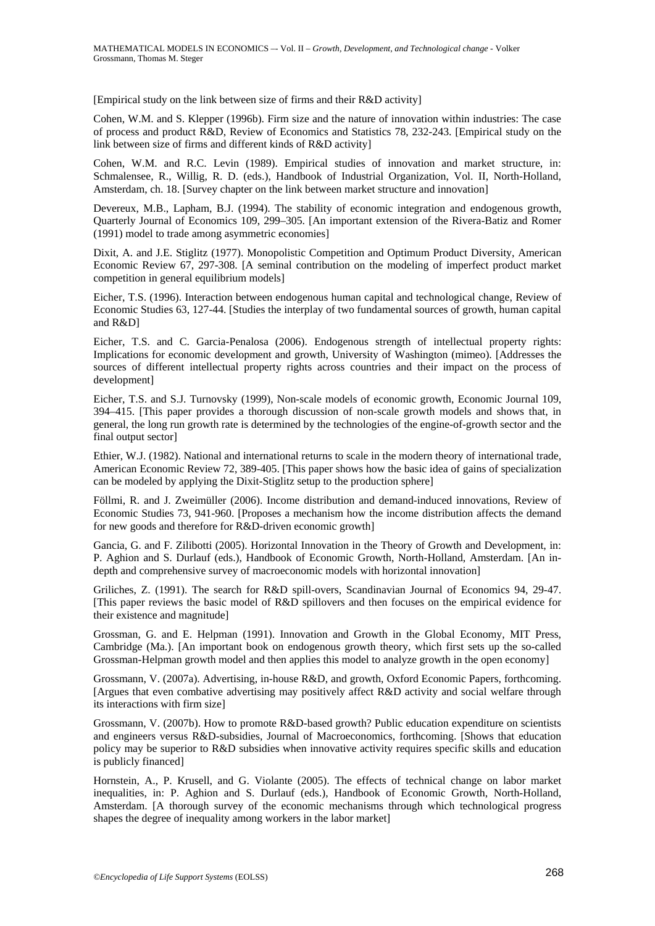[Empirical study on the link between size of firms and their R&D activity]

Cohen, W.M. and S. Klepper (1996b). Firm size and the nature of innovation within industries: The case of process and product R&D, Review of Economics and Statistics 78, 232-243. [Empirical study on the link between size of firms and different kinds of R&D activity]

Cohen, W.M. and R.C. Levin (1989). Empirical studies of innovation and market structure, in: Schmalensee, R., Willig, R. D. (eds.), Handbook of Industrial Organization, Vol. II, North-Holland, Amsterdam, ch. 18. [Survey chapter on the link between market structure and innovation]

Devereux, M.B., Lapham, B.J. (1994). The stability of economic integration and endogenous growth, Quarterly Journal of Economics 109, 299–305. [An important extension of the Rivera-Batiz and Romer (1991) model to trade among asymmetric economies]

Dixit, A. and J.E. Stiglitz (1977). Monopolistic Competition and Optimum Product Diversity, American Economic Review 67, 297-308. [A seminal contribution on the modeling of imperfect product market competition in general equilibrium models]

Eicher, T.S. (1996). Interaction between endogenous human capital and technological change, Review of Economic Studies 63, 127-44. [Studies the interplay of two fundamental sources of growth, human capital and R&D]

Eicher, T.S. and C. Garcia-Penalosa (2006). Endogenous strength of intellectual property rights: Implications for economic development and growth, University of Washington (mimeo). [Addresses the sources of different intellectual property rights across countries and their impact on the process of development]

Eicher, T.S. and S.J. Turnovsky (1999), Non-scale models of economic growth, Economic Journal 109, 394–415. [This paper provides a thorough discussion of non-scale growth models and shows that, in general, the long run growth rate is determined by the technologies of the engine-of-growth sector and the final output sector]

Ethier, W.J. (1982). National and international returns to scale in the modern theory of international trade, American Economic Review 72, 389-405. [This paper shows how the basic idea of gains of specialization can be modeled by applying the Dixit-Stiglitz setup to the production sphere]

Föllmi, R. and J. Zweimüller (2006). Income distribution and demand-induced innovations, Review of Economic Studies 73, 941-960. [Proposes a mechanism how the income distribution affects the demand for new goods and therefore for R&D-driven economic growth]

Gancia, G. and F. Zilibotti (2005). Horizontal Innovation in the Theory of Growth and Development, in: P. Aghion and S. Durlauf (eds.), Handbook of Economic Growth, North-Holland, Amsterdam. [An indepth and comprehensive survey of macroeconomic models with horizontal innovation]

Griliches, Z. (1991). The search for R&D spill-overs, Scandinavian Journal of Economics 94, 29-47. [This paper reviews the basic model of R&D spillovers and then focuses on the empirical evidence for their existence and magnitude]

Grossman, G. and E. Helpman (1991). Innovation and Growth in the Global Economy, MIT Press, Cambridge (Ma.). [An important book on endogenous growth theory, which first sets up the so-called Grossman-Helpman growth model and then applies this model to analyze growth in the open economy]

Grossmann, V. (2007a). Advertising, in-house R&D, and growth, Oxford Economic Papers, forthcoming. [Argues that even combative advertising may positively affect R&D activity and social welfare through its interactions with firm size]

Grossmann, V. (2007b). How to promote R&D-based growth? Public education expenditure on scientists and engineers versus R&D-subsidies, Journal of Macroeconomics, forthcoming. [Shows that education policy may be superior to R&D subsidies when innovative activity requires specific skills and education is publicly financed]

Hornstein, A., P. Krusell, and G. Violante (2005). The effects of technical change on labor market inequalities, in: P. Aghion and S. Durlauf (eds.), Handbook of Economic Growth, North-Holland, Amsterdam. [A thorough survey of the economic mechanisms through which technological progress shapes the degree of inequality among workers in the labor market]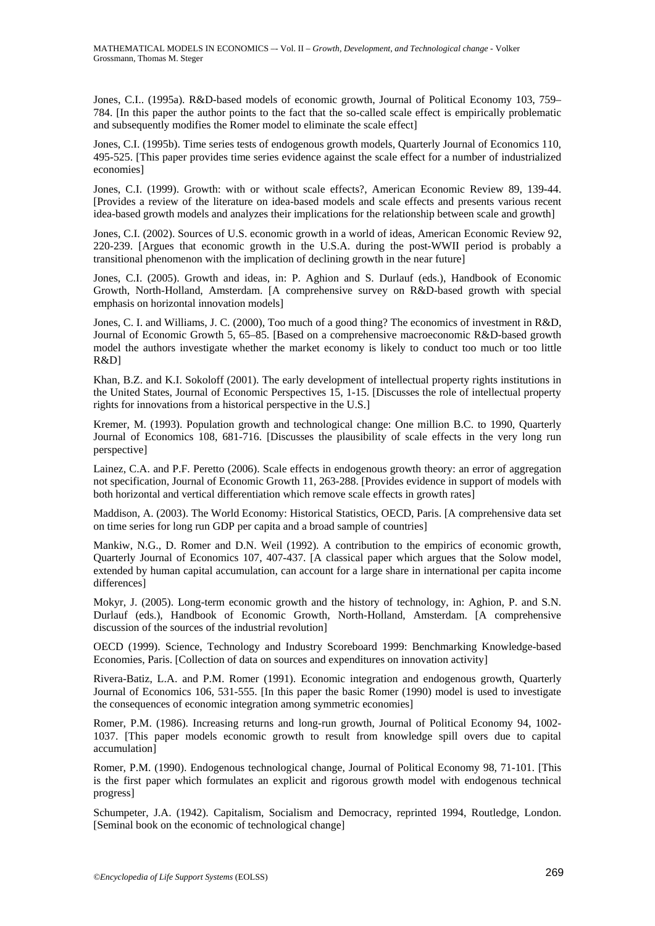Jones, C.I.. (1995a). R&D-based models of economic growth, Journal of Political Economy 103, 759– 784. [In this paper the author points to the fact that the so-called scale effect is empirically problematic and subsequently modifies the Romer model to eliminate the scale effect]

Jones, C.I. (1995b). Time series tests of endogenous growth models, Quarterly Journal of Economics 110, 495-525. [This paper provides time series evidence against the scale effect for a number of industrialized economies]

Jones, C.I. (1999). Growth: with or without scale effects?, American Economic Review 89, 139-44. [Provides a review of the literature on idea-based models and scale effects and presents various recent idea-based growth models and analyzes their implications for the relationship between scale and growth]

Jones, C.I. (2002). Sources of U.S. economic growth in a world of ideas, American Economic Review 92, 220-239. [Argues that economic growth in the U.S.A. during the post-WWII period is probably a transitional phenomenon with the implication of declining growth in the near future]

Jones, C.I. (2005). Growth and ideas, in: P. Aghion and S. Durlauf (eds.), Handbook of Economic Growth, North-Holland, Amsterdam. [A comprehensive survey on R&D-based growth with special emphasis on horizontal innovation models]

Jones, C. I. and Williams, J. C. (2000), Too much of a good thing? The economics of investment in R&D, Journal of Economic Growth 5, 65–85. [Based on a comprehensive macroeconomic R&D-based growth model the authors investigate whether the market economy is likely to conduct too much or too little R&D]

Khan, B.Z. and K.I. Sokoloff (2001). The early development of intellectual property rights institutions in the United States, Journal of Economic Perspectives 15, 1-15. [Discusses the role of intellectual property rights for innovations from a historical perspective in the U.S.]

Kremer, M. (1993). Population growth and technological change: One million B.C. to 1990, Quarterly Journal of Economics 108, 681-716. [Discusses the plausibility of scale effects in the very long run perspective]

Lainez, C.A. and P.F. Peretto (2006). Scale effects in endogenous growth theory: an error of aggregation not specification, Journal of Economic Growth 11, 263-288. [Provides evidence in support of models with both horizontal and vertical differentiation which remove scale effects in growth rates]

Maddison, A. (2003). The World Economy: Historical Statistics, OECD, Paris. [A comprehensive data set on time series for long run GDP per capita and a broad sample of countries]

Mankiw, N.G., D. Romer and D.N. Weil (1992). A contribution to the empirics of economic growth, Quarterly Journal of Economics 107, 407-437. [A classical paper which argues that the Solow model, extended by human capital accumulation, can account for a large share in international per capita income differences]

Mokyr, J. (2005). Long-term economic growth and the history of technology, in: Aghion, P. and S.N. Durlauf (eds.), Handbook of Economic Growth, North-Holland, Amsterdam. [A comprehensive discussion of the sources of the industrial revolution]

OECD (1999). Science, Technology and Industry Scoreboard 1999: Benchmarking Knowledge-based Economies, Paris. [Collection of data on sources and expenditures on innovation activity]

Rivera-Batiz, L.A. and P.M. Romer (1991). Economic integration and endogenous growth, Quarterly Journal of Economics 106, 531-555. [In this paper the basic Romer (1990) model is used to investigate the consequences of economic integration among symmetric economies]

Romer, P.M. (1986). Increasing returns and long-run growth, Journal of Political Economy 94, 1002- 1037. [This paper models economic growth to result from knowledge spill overs due to capital accumulation]

Romer, P.M. (1990). Endogenous technological change, Journal of Political Economy 98, 71-101. [This is the first paper which formulates an explicit and rigorous growth model with endogenous technical progress]

Schumpeter, J.A. (1942). Capitalism, Socialism and Democracy, reprinted 1994, Routledge, London. [Seminal book on the economic of technological change]